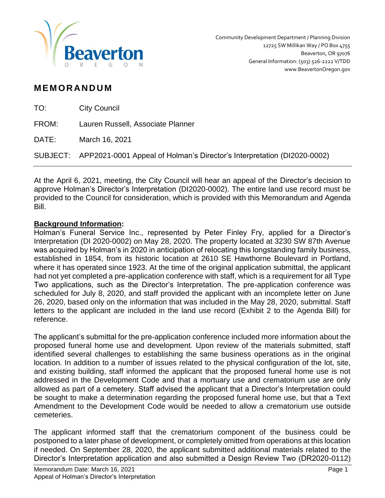

# **M EM OR AN D U M**

| TO:   | <b>City Council</b>                                                              |
|-------|----------------------------------------------------------------------------------|
| FROM: | Lauren Russell, Associate Planner                                                |
| DATE: | March 16, 2021                                                                   |
|       | SUBJECT: APP2021-0001 Appeal of Holman's Director's Interpretation (DI2020-0002) |
|       |                                                                                  |

At the April 6, 2021, meeting, the City Council will hear an appeal of the Director's decision to approve Holman's Director's Interpretation (DI2020-0002). The entire land use record must be provided to the Council for consideration, which is provided with this Memorandum and Agenda Bill.

### **Background Information:**

Holman's Funeral Service Inc., represented by Peter Finley Fry, applied for a Director's Interpretation (DI 2020-0002) on May 28, 2020. The property located at 3230 SW 87th Avenue was acquired by Holman's in 2020 in anticipation of relocating this longstanding family business, established in 1854, from its historic location at 2610 SE Hawthorne Boulevard in Portland, where it has operated since 1923. At the time of the original application submittal, the applicant had not yet completed a pre-application conference with staff, which is a requirement for all Type Two applications, such as the Director's Interpretation. The pre-application conference was scheduled for July 8, 2020, and staff provided the applicant with an incomplete letter on June 26, 2020, based only on the information that was included in the May 28, 2020, submittal. Staff letters to the applicant are included in the land use record (Exhibit 2 to the Agenda Bill) for reference.

The applicant's submittal for the pre-application conference included more information about the proposed funeral home use and development. Upon review of the materials submitted, staff identified several challenges to establishing the same business operations as in the original location. In addition to a number of issues related to the physical configuration of the lot, site, and existing building, staff informed the applicant that the proposed funeral home use is not addressed in the Development Code and that a mortuary use and crematorium use are only allowed as part of a cemetery. Staff advised the applicant that a Director's Interpretation could be sought to make a determination regarding the proposed funeral home use, but that a Text Amendment to the Development Code would be needed to allow a crematorium use outside cemeteries.

The applicant informed staff that the crematorium component of the business could be postponed to a later phase of development, or completely omitted from operations at this location if needed. On September 28, 2020, the applicant submitted additional materials related to the Director's Interpretation application and also submitted a Design Review Two (DR2020-0112)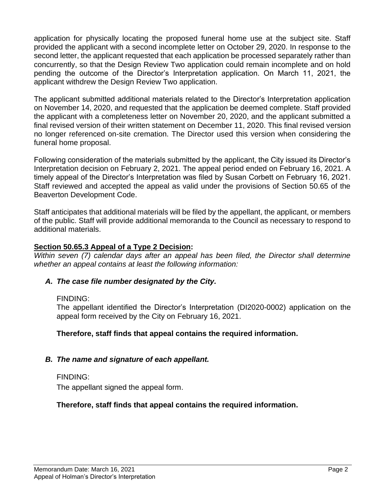application for physically locating the proposed funeral home use at the subject site. Staff provided the applicant with a second incomplete letter on October 29, 2020. In response to the second letter, the applicant requested that each application be processed separately rather than concurrently, so that the Design Review Two application could remain incomplete and on hold pending the outcome of the Director's Interpretation application. On March 11, 2021, the applicant withdrew the Design Review Two application.

The applicant submitted additional materials related to the Director's Interpretation application on November 14, 2020, and requested that the application be deemed complete. Staff provided the applicant with a completeness letter on November 20, 2020, and the applicant submitted a final revised version of their written statement on December 11, 2020. This final revised version no longer referenced on-site cremation. The Director used this version when considering the funeral home proposal.

Following consideration of the materials submitted by the applicant, the City issued its Director's Interpretation decision on February 2, 2021. The appeal period ended on February 16, 2021. A timely appeal of the Director's Interpretation was filed by Susan Corbett on February 16, 2021. Staff reviewed and accepted the appeal as valid under the provisions of Section 50.65 of the Beaverton Development Code.

Staff anticipates that additional materials will be filed by the appellant, the applicant, or members of the public. Staff will provide additional memoranda to the Council as necessary to respond to additional materials.

# **Section 50.65.3 Appeal of a Type 2 Decision:**

*Within seven (7) calendar days after an appeal has been filed, the Director shall determine whether an appeal contains at least the following information:*

### *A. The case file number designated by the City.*

#### FINDING:

The appellant identified the Director's Interpretation (DI2020-0002) application on the appeal form received by the City on February 16, 2021.

### **Therefore, staff finds that appeal contains the required information.**

### *B. The name and signature of each appellant.*

FINDING:

The appellant signed the appeal form.

### **Therefore, staff finds that appeal contains the required information.**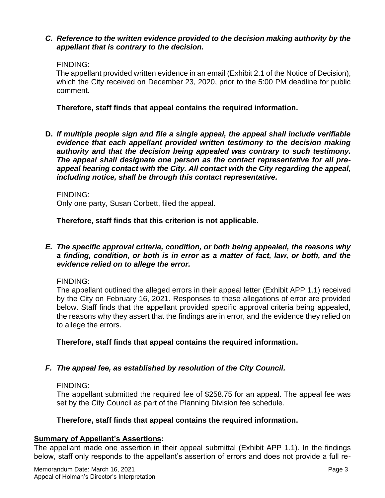#### *C. Reference to the written evidence provided to the decision making authority by the appellant that is contrary to the decision.*

### FINDING:

The appellant provided written evidence in an email (Exhibit 2.1 of the Notice of Decision), which the City received on December 23, 2020, prior to the 5:00 PM deadline for public comment.

**Therefore, staff finds that appeal contains the required information.** 

**D.** *If multiple people sign and file a single appeal, the appeal shall include verifiable evidence that each appellant provided written testimony to the decision making authority and that the decision being appealed was contrary to such testimony. The appeal shall designate one person as the contact representative for all preappeal hearing contact with the City. All contact with the City regarding the appeal, including notice, shall be through this contact representative.*

FINDING:

Only one party, Susan Corbett, filed the appeal.

**Therefore, staff finds that this criterion is not applicable.** 

#### *E. The specific approval criteria, condition, or both being appealed, the reasons why a finding, condition, or both is in error as a matter of fact, law, or both, and the evidence relied on to allege the error.*

#### FINDING:

The appellant outlined the alleged errors in their appeal letter (Exhibit APP 1.1) received by the City on February 16, 2021. Responses to these allegations of error are provided below. Staff finds that the appellant provided specific approval criteria being appealed, the reasons why they assert that the findings are in error, and the evidence they relied on to allege the errors.

**Therefore, staff finds that appeal contains the required information.** 

### *F. The appeal fee, as established by resolution of the City Council.*

#### FINDING:

The appellant submitted the required fee of \$258.75 for an appeal. The appeal fee was set by the City Council as part of the Planning Division fee schedule.

### **Therefore, staff finds that appeal contains the required information.**

### **Summary of Appellant's Assertions:**

The appellant made one assertion in their appeal submittal (Exhibit APP 1.1). In the findings below, staff only responds to the appellant's assertion of errors and does not provide a full re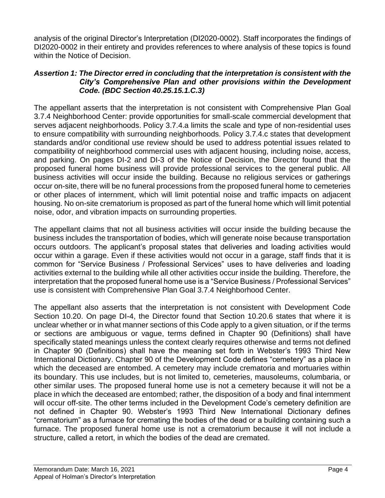analysis of the original Director's Interpretation (DI2020-0002). Staff incorporates the findings of DI2020-0002 in their entirety and provides references to where analysis of these topics is found within the Notice of Decision.

### *Assertion 1: The Director erred in concluding that the interpretation is consistent with the City's Comprehensive Plan and other provisions within the Development Code. (BDC Section 40.25.15.1.C.3)*

The appellant asserts that the interpretation is not consistent with Comprehensive Plan Goal 3.7.4 Neighborhood Center: provide opportunities for small-scale commercial development that serves adjacent neighborhoods. Policy 3.7.4.a limits the scale and type of non-residential uses to ensure compatibility with surrounding neighborhoods. Policy 3.7.4.c states that development standards and/or conditional use review should be used to address potential issues related to compatibility of neighborhood commercial uses with adjacent housing, including noise, access, and parking. On pages DI-2 and DI-3 of the Notice of Decision, the Director found that the proposed funeral home business will provide professional services to the general public. All business activities will occur inside the building. Because no religious services or gatherings occur on-site, there will be no funeral processions from the proposed funeral home to cemeteries or other places of internment, which will limit potential noise and traffic impacts on adjacent housing. No on-site crematorium is proposed as part of the funeral home which will limit potential noise, odor, and vibration impacts on surrounding properties.

The appellant claims that not all business activities will occur inside the building because the business includes the transportation of bodies, which will generate noise because transportation occurs outdoors. The applicant's proposal states that deliveries and loading activities would occur within a garage. Even if these activities would not occur in a garage, staff finds that it is common for "Service Business / Professional Services" uses to have deliveries and loading activities external to the building while all other activities occur inside the building. Therefore, the interpretation that the proposed funeral home use is a "Service Business / Professional Services" use is consistent with Comprehensive Plan Goal 3.7.4 Neighborhood Center.

The appellant also asserts that the interpretation is not consistent with Development Code Section 10.20. On page DI-4, the Director found that Section 10.20.6 states that where it is unclear whether or in what manner sections of this Code apply to a given situation, or if the terms or sections are ambiguous or vague, terms defined in Chapter 90 (Definitions) shall have specifically stated meanings unless the context clearly requires otherwise and terms not defined in Chapter 90 (Definitions) shall have the meaning set forth in Webster's 1993 Third New International Dictionary. Chapter 90 of the Development Code defines "cemetery" as a place in which the deceased are entombed. A cemetery may include crematoria and mortuaries within its boundary. This use includes, but is not limited to, cemeteries, mausoleums, columbaria, or other similar uses. The proposed funeral home use is not a cemetery because it will not be a place in which the deceased are entombed; rather, the disposition of a body and final internment will occur off-site. The other terms included in the Development Code's cemetery definition are not defined in Chapter 90. Webster's 1993 Third New International Dictionary defines "crematorium" as a furnace for cremating the bodies of the dead or a building containing such a furnace. The proposed funeral home use is not a crematorium because it will not include a structure, called a retort, in which the bodies of the dead are cremated.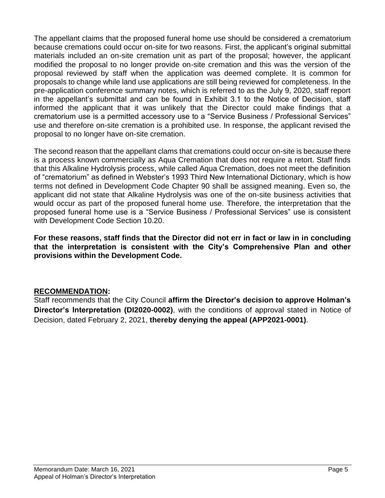The appellant claims that the proposed funeral home use should be considered a crematorium because cremations could occur on-site for two reasons. First, the applicant's original submittal materials included an on-site cremation unit as part of the proposal; however, the applicant modified the proposal to no longer provide on-site cremation and this was the version of the proposal reviewed by staff when the application was deemed complete. It is common for proposals to change while land use applications are still being reviewed for completeness. In the pre-application conference summary notes, which is referred to as the July 9, 2020, staff report in the appellant's submittal and can be found in Exhibit 3.1 to the Notice of Decision, staff informed the applicant that it was unlikely that the Director could make findings that a crematorium use is a permitted accessory use to a "Service Business / Professional Services" use and therefore on-site cremation is a prohibited use. In response, the applicant revised the proposal to no longer have on-site cremation.

The second reason that the appellant clams that cremations could occur on-site is because there is a process known commercially as Aqua Cremation that does not require a retort. Staff finds that this Alkaline Hydrolysis process, while called Aqua Cremation, does not meet the definition of "crematorium" as defined in Webster's 1993 Third New International Dictionary, which is how terms not defined in Development Code Chapter 90 shall be assigned meaning. Even so, the applicant did not state that Alkaline Hydrolysis was one of the on-site business activities that would occur as part of the proposed funeral home use. Therefore, the interpretation that the proposed funeral home use is a "Service Business / Professional Services" use is consistent with Development Code Section 10.20.

**For these reasons, staff finds that the Director did not err in fact or law in in concluding that the interpretation is consistent with the City's Comprehensive Plan and other provisions within the Development Code.**

### **RECOMMENDATION:**

Staff recommends that the City Council **affirm the Director's decision to approve Holman's Director's Interpretation (DI2020-0002)**, with the conditions of approval stated in Notice of Decision, dated February 2, 2021, **thereby denying the appeal (APP2021-0001)**.